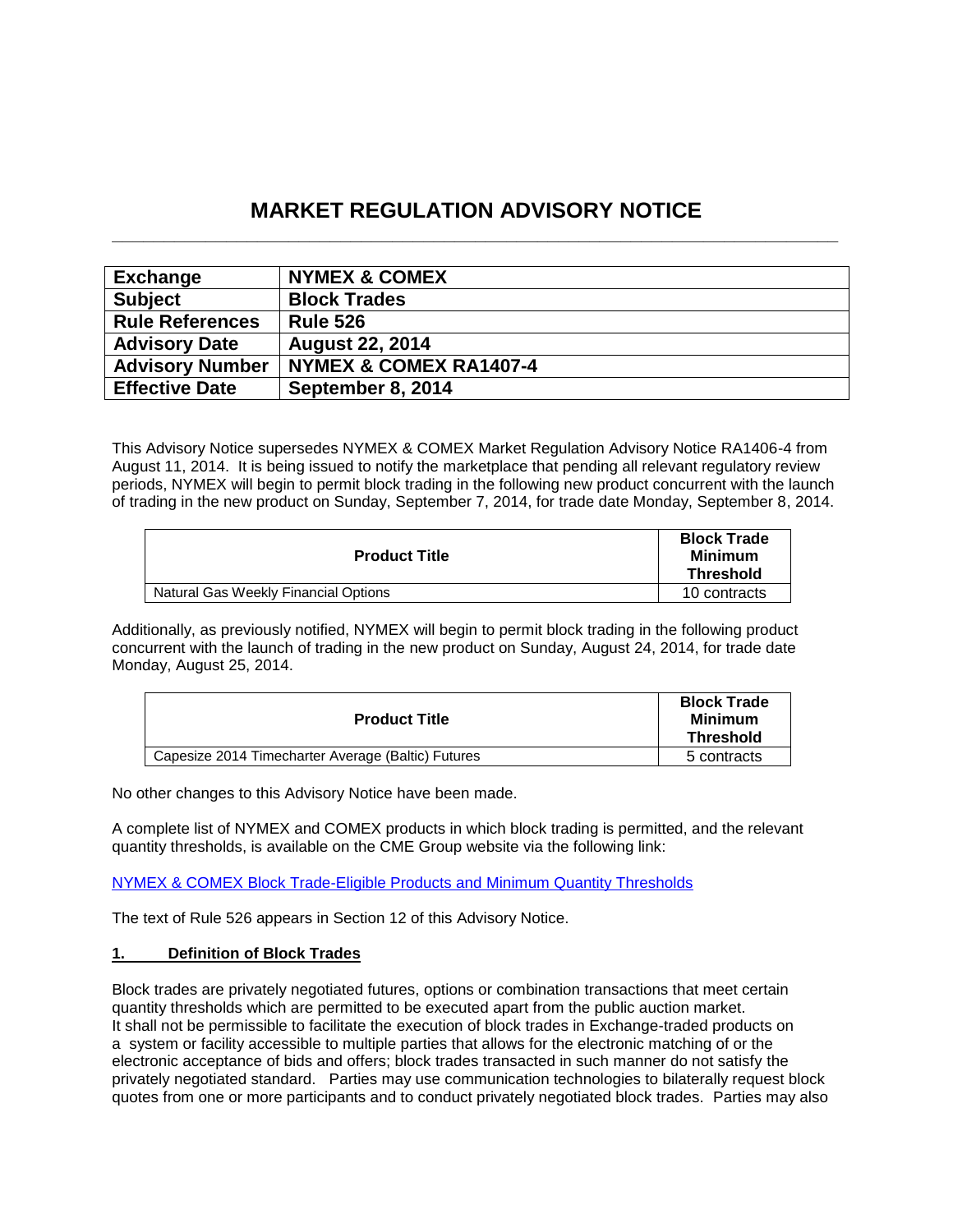# **MARKET REGULATION ADVISORY NOTICE \_\_\_\_\_\_\_\_\_\_\_\_\_\_\_\_\_\_\_\_\_\_\_\_\_\_\_\_\_\_\_\_\_\_\_\_\_\_\_\_\_\_\_\_\_\_\_\_\_\_\_\_\_\_\_\_\_\_\_\_\_\_\_\_\_\_\_\_\_\_**

| <b>Exchange</b>        | <b>NYMEX &amp; COMEX</b> |
|------------------------|--------------------------|
| <b>Subject</b>         | <b>Block Trades</b>      |
| <b>Rule References</b> | <b>Rule 526</b>          |
| <b>Advisory Date</b>   | <b>August 22, 2014</b>   |
| <b>Advisory Number</b> | NYMEX & COMEX RA1407-4   |
| <b>Effective Date</b>  | September 8, 2014        |

This Advisory Notice supersedes NYMEX & COMEX Market Regulation Advisory Notice RA1406-4 from August 11, 2014. It is being issued to notify the marketplace that pending all relevant regulatory review periods, NYMEX will begin to permit block trading in the following new product concurrent with the launch of trading in the new product on Sunday, September 7, 2014, for trade date Monday, September 8, 2014.

| <b>Product Title</b>                 | <b>Block Trade</b><br>Minimum<br><b>Threshold</b> |
|--------------------------------------|---------------------------------------------------|
| Natural Gas Weekly Financial Options | 10 contracts                                      |

Additionally, as previously notified, NYMEX will begin to permit block trading in the following product concurrent with the launch of trading in the new product on Sunday, August 24, 2014, for trade date Monday, August 25, 2014.

| <b>Product Title</b>                               | <b>Block Trade</b><br>Minimum<br><b>Threshold</b> |
|----------------------------------------------------|---------------------------------------------------|
| Capesize 2014 Timecharter Average (Baltic) Futures | 5 contracts                                       |

No other changes to this Advisory Notice have been made.

A complete list of NYMEX and COMEX products in which block trading is permitted, and the relevant quantity thresholds, is available on the CME Group website via the following link:

[NYMEX & COMEX Block Trade-Eligible Products and Minimum Quantity Thresholds](http://www.cmegroup.com/clearing/trading-practices/NYMEX-COMEXblock-trade.html)

The text of Rule 526 appears in Section 12 of this Advisory Notice.

### **1. Definition of Block Trades**

Block trades are privately negotiated futures, options or combination transactions that meet certain quantity thresholds which are permitted to be executed apart from the public auction market. It shall not be permissible to facilitate the execution of block trades in Exchange-traded products on a system or facility accessible to multiple parties that allows for the electronic matching of or the electronic acceptance of bids and offers; block trades transacted in such manner do not satisfy the privately negotiated standard. Parties may use communication technologies to bilaterally request block quotes from one or more participants and to conduct privately negotiated block trades. Parties may also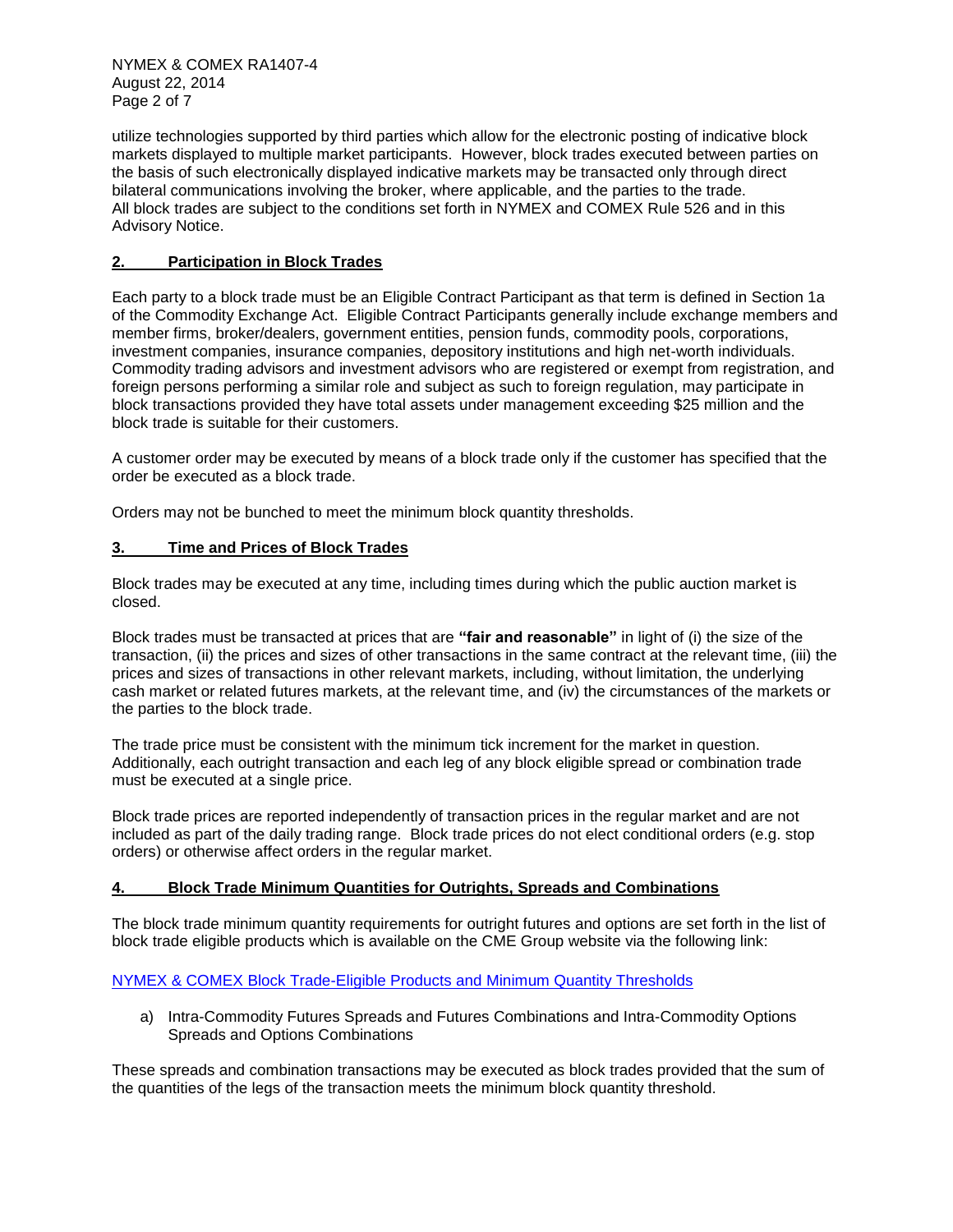NYMEX & COMEX RA1407-4 August 22, 2014 Page 2 of 7

utilize technologies supported by third parties which allow for the electronic posting of indicative block markets displayed to multiple market participants. However, block trades executed between parties on the basis of such electronically displayed indicative markets may be transacted only through direct bilateral communications involving the broker, where applicable, and the parties to the trade. All block trades are subject to the conditions set forth in NYMEX and COMEX Rule 526 and in this Advisory Notice.

# **2. Participation in Block Trades**

Each party to a block trade must be an Eligible Contract Participant as that term is defined in Section 1a of the Commodity Exchange Act. Eligible Contract Participants generally include exchange members and member firms, broker/dealers, government entities, pension funds, commodity pools, corporations, investment companies, insurance companies, depository institutions and high net-worth individuals. Commodity trading advisors and investment advisors who are registered or exempt from registration, and foreign persons performing a similar role and subject as such to foreign regulation, may participate in block transactions provided they have total assets under management exceeding \$25 million and the block trade is suitable for their customers.

A customer order may be executed by means of a block trade only if the customer has specified that the order be executed as a block trade.

Orders may not be bunched to meet the minimum block quantity thresholds.

# **3. Time and Prices of Block Trades**

Block trades may be executed at any time, including times during which the public auction market is closed.

Block trades must be transacted at prices that are **"fair and reasonable"** in light of (i) the size of the transaction, (ii) the prices and sizes of other transactions in the same contract at the relevant time, (iii) the prices and sizes of transactions in other relevant markets, including, without limitation, the underlying cash market or related futures markets, at the relevant time, and (iv) the circumstances of the markets or the parties to the block trade.

The trade price must be consistent with the minimum tick increment for the market in question. Additionally, each outright transaction and each leg of any block eligible spread or combination trade must be executed at a single price.

Block trade prices are reported independently of transaction prices in the regular market and are not included as part of the daily trading range. Block trade prices do not elect conditional orders (e.g. stop orders) or otherwise affect orders in the regular market.

### **4. Block Trade Minimum Quantities for Outrights, Spreads and Combinations**

The block trade minimum quantity requirements for outright futures and options are set forth in the list of block trade eligible products which is available on the CME Group website via the following link:

### [NYMEX & COMEX Block Trade-Eligible Products and Minimum Quantity Thresholds](http://www.cmegroup.com/clearing/trading-practices/NYMEX-COMEXblock-trade.html)

a) Intra-Commodity Futures Spreads and Futures Combinations and Intra-Commodity Options Spreads and Options Combinations

These spreads and combination transactions may be executed as block trades provided that the sum of the quantities of the legs of the transaction meets the minimum block quantity threshold.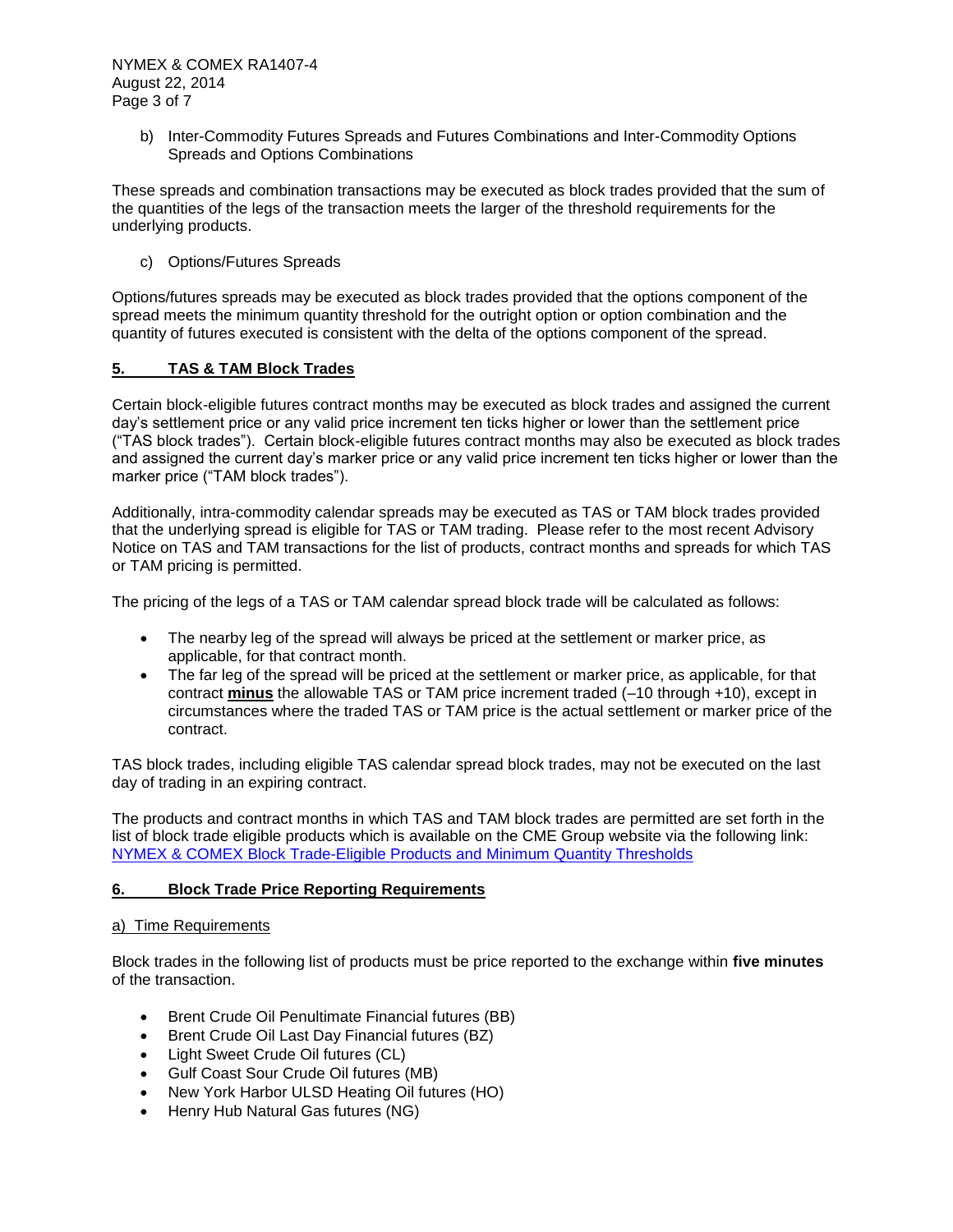b) Inter-Commodity Futures Spreads and Futures Combinations and Inter-Commodity Options Spreads and Options Combinations

These spreads and combination transactions may be executed as block trades provided that the sum of the quantities of the legs of the transaction meets the larger of the threshold requirements for the underlying products.

c) Options/Futures Spreads

Options/futures spreads may be executed as block trades provided that the options component of the spread meets the minimum quantity threshold for the outright option or option combination and the quantity of futures executed is consistent with the delta of the options component of the spread.

# **5. TAS & TAM Block Trades**

Certain block-eligible futures contract months may be executed as block trades and assigned the current day's settlement price or any valid price increment ten ticks higher or lower than the settlement price ("TAS block trades"). Certain block-eligible futures contract months may also be executed as block trades and assigned the current day's marker price or any valid price increment ten ticks higher or lower than the marker price ("TAM block trades").

Additionally, intra-commodity calendar spreads may be executed as TAS or TAM block trades provided that the underlying spread is eligible for TAS or TAM trading. Please refer to the most recent Advisory Notice on TAS and TAM transactions for the list of products, contract months and spreads for which TAS or TAM pricing is permitted.

The pricing of the legs of a TAS or TAM calendar spread block trade will be calculated as follows:

- The nearby leg of the spread will always be priced at the settlement or marker price, as applicable, for that contract month.
- The far leg of the spread will be priced at the settlement or marker price, as applicable, for that contract **minus** the allowable TAS or TAM price increment traded (–10 through +10), except in circumstances where the traded TAS or TAM price is the actual settlement or marker price of the contract.

TAS block trades, including eligible TAS calendar spread block trades, may not be executed on the last day of trading in an expiring contract.

The products and contract months in which TAS and TAM block trades are permitted are set forth in the list of block trade eligible products which is available on the CME Group website via the following link: NYMEX & COMEX Block [Trade-Eligible Products and Minimum Quantity Thresholds](http://www.cmegroup.com/clearing/trading-practices/NYMEX-COMEXblock-trade.html)

# **6. Block Trade Price Reporting Requirements**

### a) Time Requirements

Block trades in the following list of products must be price reported to the exchange within **five minutes** of the transaction.

- Brent Crude Oil Penultimate Financial futures (BB)
- Brent Crude Oil Last Day Financial futures (BZ)
- Light Sweet Crude Oil futures (CL)
- Gulf Coast Sour Crude Oil futures (MB)
- New York Harbor ULSD Heating Oil futures (HO)
- Henry Hub Natural Gas futures (NG)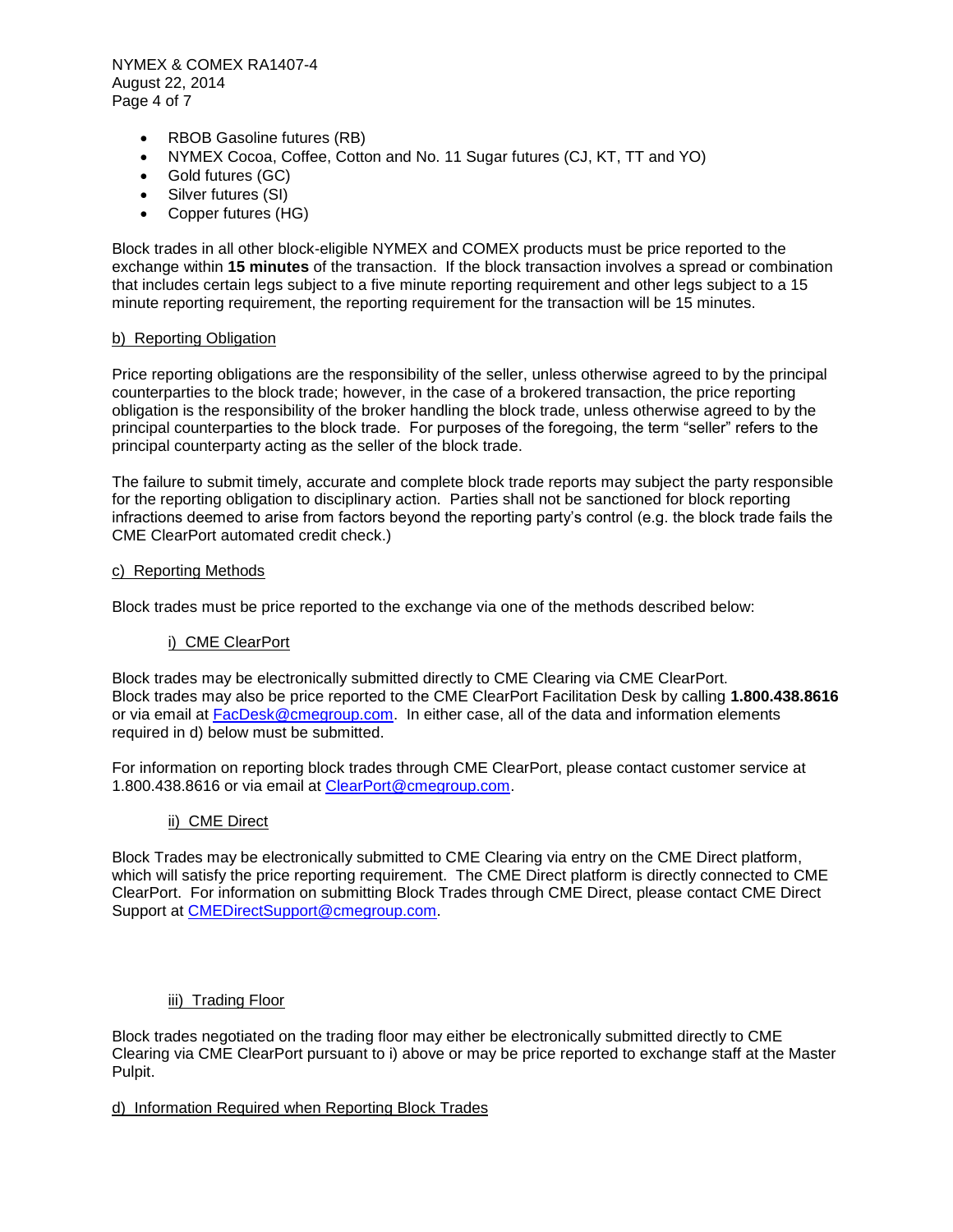NYMEX & COMEX RA1407-4 August 22, 2014 Page 4 of 7

- RBOB Gasoline futures (RB)
- NYMEX Cocoa, Coffee, Cotton and No. 11 Sugar futures (CJ, KT, TT and YO)
- Gold futures (GC)
- Silver futures (SI)
- Copper futures (HG)

Block trades in all other block-eligible NYMEX and COMEX products must be price reported to the exchange within **15 minutes** of the transaction. If the block transaction involves a spread or combination that includes certain legs subject to a five minute reporting requirement and other legs subject to a 15 minute reporting requirement, the reporting requirement for the transaction will be 15 minutes.

### b) Reporting Obligation

Price reporting obligations are the responsibility of the seller, unless otherwise agreed to by the principal counterparties to the block trade; however, in the case of a brokered transaction, the price reporting obligation is the responsibility of the broker handling the block trade, unless otherwise agreed to by the principal counterparties to the block trade. For purposes of the foregoing, the term "seller" refers to the principal counterparty acting as the seller of the block trade.

The failure to submit timely, accurate and complete block trade reports may subject the party responsible for the reporting obligation to disciplinary action. Parties shall not be sanctioned for block reporting infractions deemed to arise from factors beyond the reporting party's control (e.g. the block trade fails the CME ClearPort automated credit check.)

#### c) Reporting Methods

Block trades must be price reported to the exchange via one of the methods described below:

### i) CME ClearPort

Block trades may be electronically submitted directly to CME Clearing via CME ClearPort. Block trades may also be price reported to the CME ClearPort Facilitation Desk by calling **1.800.438.8616**  or via email at [FacDesk@cmegroup.com.](mailto:FacDesk@cmegroup.com) In either case, all of the data and information elements required in d) below must be submitted.

For information on reporting block trades through CME ClearPort, please contact customer service at 1.800.438.8616 or via email at [ClearPort@cmegroup.com.](mailto:ClearPort@cmegroup.com)

### ii) CME Direct

Block Trades may be electronically submitted to CME Clearing via entry on the CME Direct platform, which will satisfy the price reporting requirement. The CME Direct platform is directly connected to CME ClearPort. For information on submitting Block Trades through CME Direct, please contact CME Direct Support at [CMEDirectSupport@cmegroup.com.](mailto:CMEDirectSupport@cmegroup.com)

### iii) Trading Floor

Block trades negotiated on the trading floor may either be electronically submitted directly to CME Clearing via CME ClearPort pursuant to i) above or may be price reported to exchange staff at the Master Pulpit.

### d) Information Required when Reporting Block Trades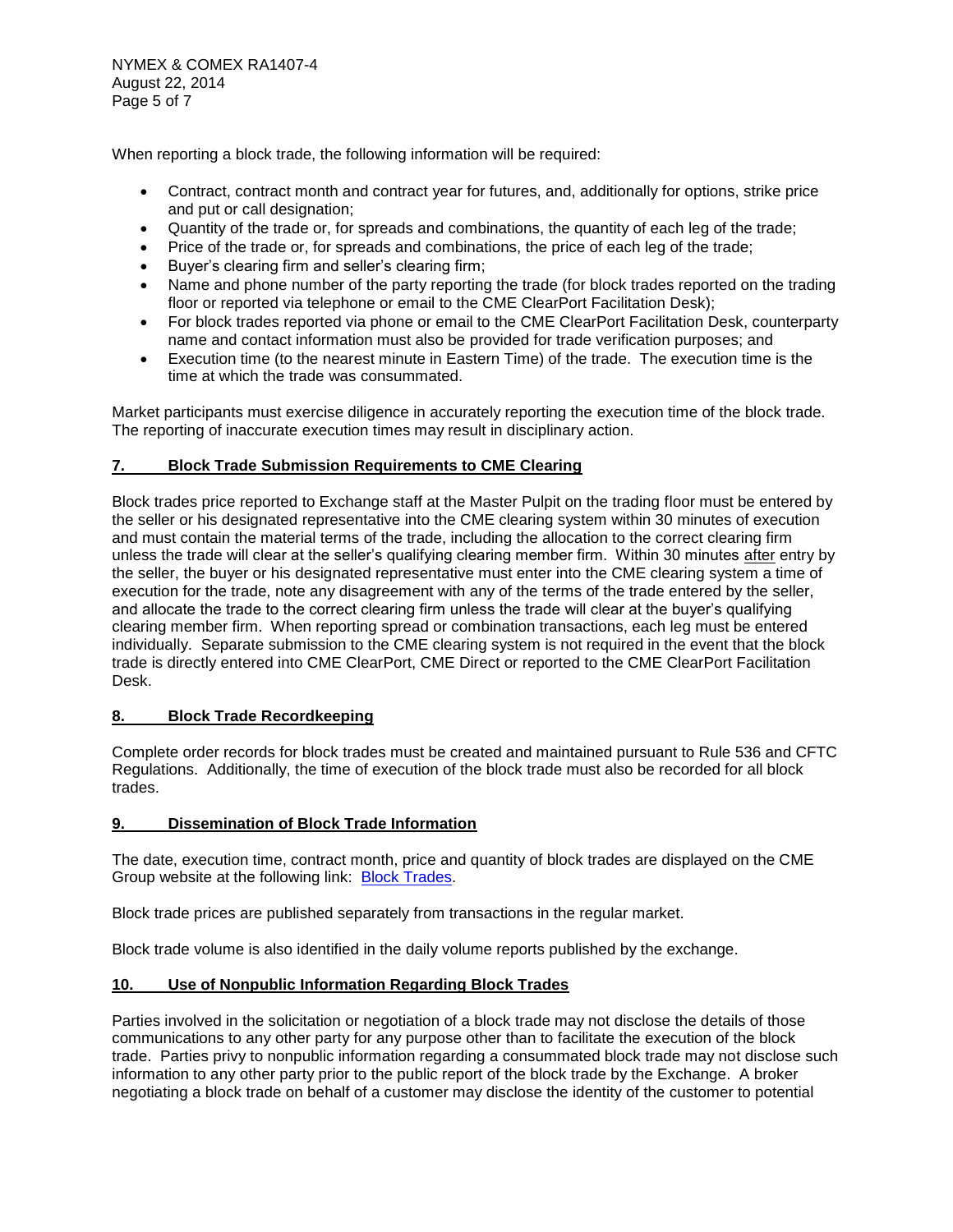When reporting a block trade, the following information will be required:

- Contract, contract month and contract year for futures, and, additionally for options, strike price and put or call designation;
- Quantity of the trade or, for spreads and combinations, the quantity of each leg of the trade;
- Price of the trade or, for spreads and combinations, the price of each leg of the trade;
- Buyer's clearing firm and seller's clearing firm;
- Name and phone number of the party reporting the trade (for block trades reported on the trading floor or reported via telephone or email to the CME ClearPort Facilitation Desk);
- For block trades reported via phone or email to the CME ClearPort Facilitation Desk, counterparty name and contact information must also be provided for trade verification purposes; and
- Execution time (to the nearest minute in Eastern Time) of the trade. The execution time is the time at which the trade was consummated.

Market participants must exercise diligence in accurately reporting the execution time of the block trade. The reporting of inaccurate execution times may result in disciplinary action.

# **7. Block Trade Submission Requirements to CME Clearing**

Block trades price reported to Exchange staff at the Master Pulpit on the trading floor must be entered by the seller or his designated representative into the CME clearing system within 30 minutes of execution and must contain the material terms of the trade, including the allocation to the correct clearing firm unless the trade will clear at the seller's qualifying clearing member firm. Within 30 minutes after entry by the seller, the buyer or his designated representative must enter into the CME clearing system a time of execution for the trade, note any disagreement with any of the terms of the trade entered by the seller, and allocate the trade to the correct clearing firm unless the trade will clear at the buyer's qualifying clearing member firm. When reporting spread or combination transactions, each leg must be entered individually. Separate submission to the CME clearing system is not required in the event that the block trade is directly entered into CME ClearPort, CME Direct or reported to the CME ClearPort Facilitation Desk.

### **8. Block Trade Recordkeeping**

Complete order records for block trades must be created and maintained pursuant to Rule 536 and CFTC Regulations. Additionally, the time of execution of the block trade must also be recorded for all block trades.

### **9. Dissemination of Block Trade Information**

The date, execution time, contract month, price and quantity of block trades are displayed on the CME Group website at the following link: [Block Trades.](http://www.cmegroup.com/tools-information/blocktrades.html)

Block trade prices are published separately from transactions in the regular market.

Block trade volume is also identified in the daily volume reports published by the exchange.

### **10. Use of Nonpublic Information Regarding Block Trades**

Parties involved in the solicitation or negotiation of a block trade may not disclose the details of those communications to any other party for any purpose other than to facilitate the execution of the block trade. Parties privy to nonpublic information regarding a consummated block trade may not disclose such information to any other party prior to the public report of the block trade by the Exchange. A broker negotiating a block trade on behalf of a customer may disclose the identity of the customer to potential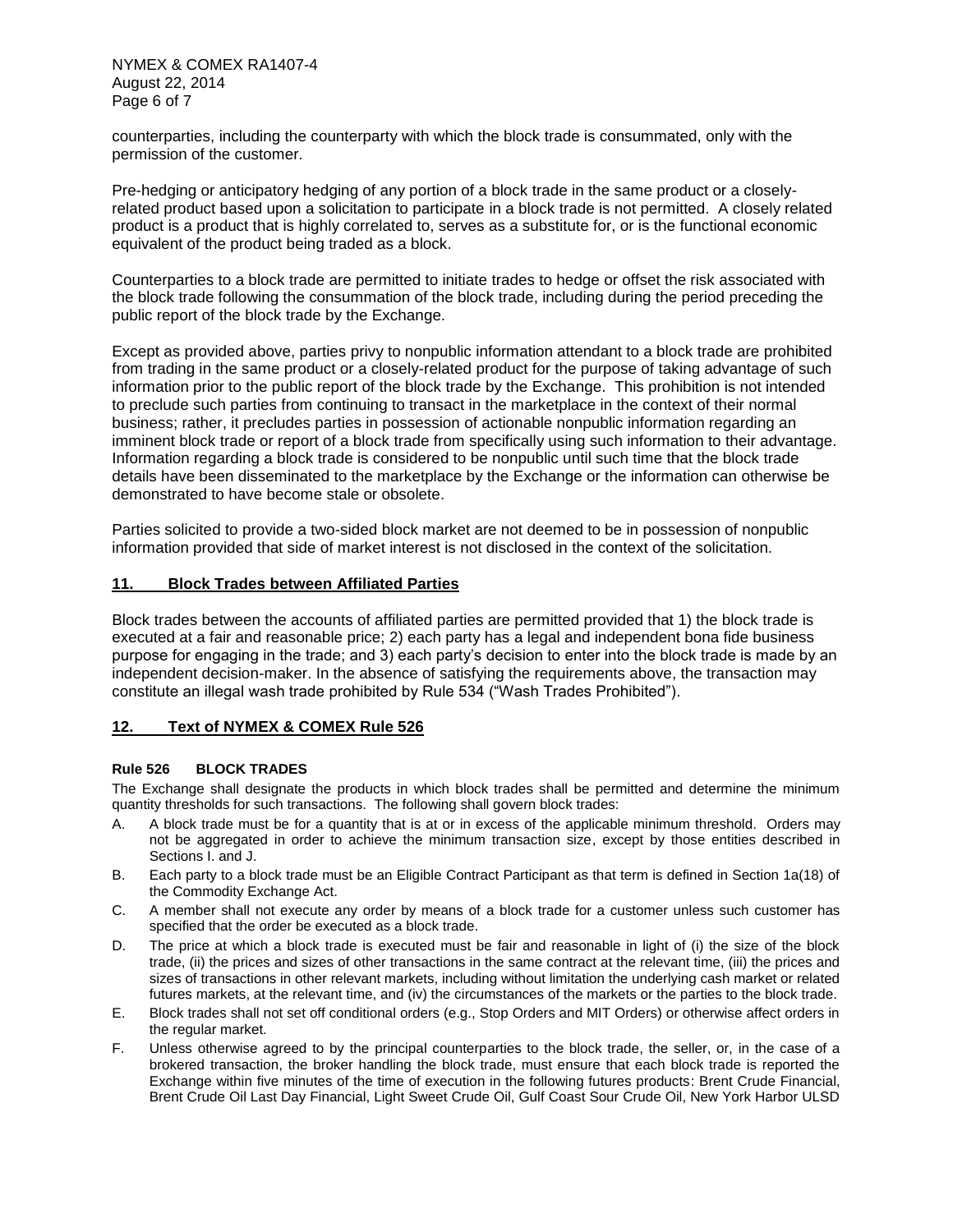NYMEX & COMEX RA1407-4 August 22, 2014 Page 6 of 7

counterparties, including the counterparty with which the block trade is consummated, only with the permission of the customer.

Pre-hedging or anticipatory hedging of any portion of a block trade in the same product or a closelyrelated product based upon a solicitation to participate in a block trade is not permitted. A closely related product is a product that is highly correlated to, serves as a substitute for, or is the functional economic equivalent of the product being traded as a block.

Counterparties to a block trade are permitted to initiate trades to hedge or offset the risk associated with the block trade following the consummation of the block trade, including during the period preceding the public report of the block trade by the Exchange.

Except as provided above, parties privy to nonpublic information attendant to a block trade are prohibited from trading in the same product or a closely-related product for the purpose of taking advantage of such information prior to the public report of the block trade by the Exchange. This prohibition is not intended to preclude such parties from continuing to transact in the marketplace in the context of their normal business; rather, it precludes parties in possession of actionable nonpublic information regarding an imminent block trade or report of a block trade from specifically using such information to their advantage. Information regarding a block trade is considered to be nonpublic until such time that the block trade details have been disseminated to the marketplace by the Exchange or the information can otherwise be demonstrated to have become stale or obsolete.

Parties solicited to provide a two-sided block market are not deemed to be in possession of nonpublic information provided that side of market interest is not disclosed in the context of the solicitation.

#### **11. Block Trades between Affiliated Parties**

Block trades between the accounts of affiliated parties are permitted provided that 1) the block trade is executed at a fair and reasonable price; 2) each party has a legal and independent bona fide business purpose for engaging in the trade; and 3) each party's decision to enter into the block trade is made by an independent decision-maker. In the absence of satisfying the requirements above, the transaction may constitute an illegal wash trade prohibited by Rule 534 ("Wash Trades Prohibited").

### **12. Text of NYMEX & COMEX Rule 526**

#### **Rule 526 BLOCK TRADES**

The Exchange shall designate the products in which block trades shall be permitted and determine the minimum quantity thresholds for such transactions. The following shall govern block trades:

- A. A block trade must be for a quantity that is at or in excess of the applicable minimum threshold. Orders may not be aggregated in order to achieve the minimum transaction size, except by those entities described in Sections I. and J.
- B. Each party to a block trade must be an Eligible Contract Participant as that term is defined in Section 1a(18) of the Commodity Exchange Act.
- C. A member shall not execute any order by means of a block trade for a customer unless such customer has specified that the order be executed as a block trade.
- D. The price at which a block trade is executed must be fair and reasonable in light of (i) the size of the block trade, (ii) the prices and sizes of other transactions in the same contract at the relevant time, (iii) the prices and sizes of transactions in other relevant markets, including without limitation the underlying cash market or related futures markets, at the relevant time, and (iv) the circumstances of the markets or the parties to the block trade.
- E. Block trades shall not set off conditional orders (e.g., Stop Orders and MIT Orders) or otherwise affect orders in the regular market.
- F. Unless otherwise agreed to by the principal counterparties to the block trade, the seller, or, in the case of a brokered transaction, the broker handling the block trade, must ensure that each block trade is reported the Exchange within five minutes of the time of execution in the following futures products: Brent Crude Financial, Brent Crude Oil Last Day Financial, Light Sweet Crude Oil, Gulf Coast Sour Crude Oil, New York Harbor ULSD